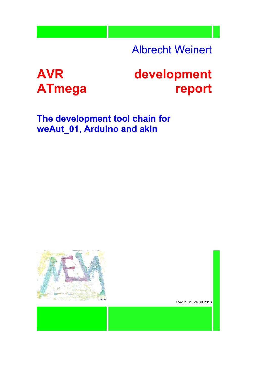Albrecht Weinert

# **AVR ATmega**

# **development report**

**The development tool chain for weAut\_01, Arduino and akin**



Rev. [1.01,](#page-2-0) 24.09.2013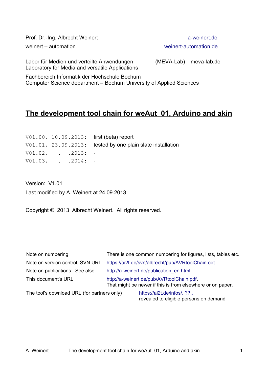| Prof. Dr.-Ing. Albrecht Weinert                                                               |                        | a-weinert.de          |
|-----------------------------------------------------------------------------------------------|------------------------|-----------------------|
| weinert - automation                                                                          |                        | weinert-automation.de |
| Labor für Medien und verteilte Anwendungen<br>Laboratory for Media and versatile Applications | (MEVA-Lab) meva-lab.de |                       |

Fachbereich Informatik der Hochschule Bochum Computer Science department – Bochum University of Applied Sciences

# **The development tool chain for weAut\_01, Arduino and akin**

|                        | V01.00, 10.09.2013: first (beta) report                          |
|------------------------|------------------------------------------------------------------|
|                        | $V01.01$ , $23.09.2013$ : tested by one plain slate installation |
| $V01.02, --.-.2013: -$ |                                                                  |
| $V01.03, --.-.2014: -$ |                                                                  |

<span id="page-2-0"></span>Version: V1.01 Last modified by A. Weinert at 24.09.2013

Copyright © 2013 Albrecht Weinert. All rights reserved.

| Note on numbering:                          | There is one common numbering for figures, lists, tables etc.                                           |                                                                    |  |
|---------------------------------------------|---------------------------------------------------------------------------------------------------------|--------------------------------------------------------------------|--|
|                                             | Note on version control, SVN URL: https://ai2t.de/svn/albrecht/pub/AVRtoolChain.odt                     |                                                                    |  |
| Note on publications: See also              | http://a-weinert.de/publication en.html                                                                 |                                                                    |  |
| This document's URL:                        | http://a-weinert.de/pub/AVRtoolChain.pdf.<br>That might be newer if this is from elsewhere or on paper. |                                                                    |  |
| The tool's download URL (for partners only) |                                                                                                         | https://ai2t.de/infos/??<br>revealed to eligible persons on demand |  |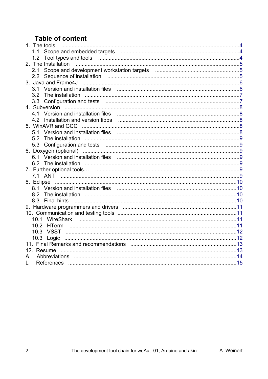# **Table of content**

| 1. The tools                                                                                                 |  |
|--------------------------------------------------------------------------------------------------------------|--|
|                                                                                                              |  |
| 1.2                                                                                                          |  |
| 2. The Installation                                                                                          |  |
| 2.1                                                                                                          |  |
|                                                                                                              |  |
|                                                                                                              |  |
| 3.1                                                                                                          |  |
| 3.2 The installation                                                                                         |  |
|                                                                                                              |  |
|                                                                                                              |  |
|                                                                                                              |  |
|                                                                                                              |  |
|                                                                                                              |  |
| 5.1                                                                                                          |  |
|                                                                                                              |  |
| 5.3                                                                                                          |  |
|                                                                                                              |  |
|                                                                                                              |  |
|                                                                                                              |  |
|                                                                                                              |  |
|                                                                                                              |  |
|                                                                                                              |  |
|                                                                                                              |  |
| The installation manufacture and the installation manufacture and the installation manufacture and to<br>8.2 |  |
| 8.3 Final hints                                                                                              |  |
|                                                                                                              |  |
|                                                                                                              |  |
| 10.1                                                                                                         |  |
| 10.2                                                                                                         |  |
| 10.3                                                                                                         |  |
| 10.3 Logic                                                                                                   |  |
|                                                                                                              |  |
| 12. Resume                                                                                                   |  |
| A                                                                                                            |  |
| I.                                                                                                           |  |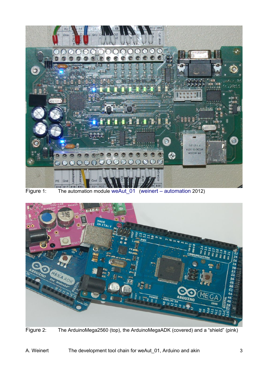

<span id="page-4-1"></span><span id="page-4-0"></span>

Figure 2: The ArduinoMega2560 (top), the ArduinoMegaADK (covered) and a "shield" (pink)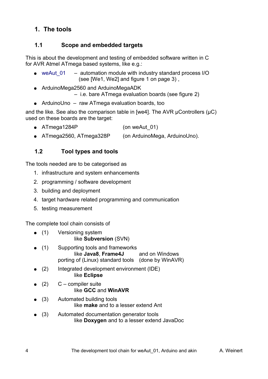# <span id="page-5-2"></span>**1. The tools**

## <span id="page-5-1"></span>**1.1 Scope and embedded targets**

This is about the development and testing of embedded software written in C for AVR Atmel ATmega based systems, like e.g.:

- weAut 01 automation module with industry standard process I/O (see [We1, We2] and figure [1](#page-4-1) on page [3\)](#page-4-1) ,
- ArduinoMega2560 and ArduinoMegaADK

– i.e. bare ATmega evaluation boards (see figure [2\)](#page-4-0)

● ArduinoUno – raw ATmega evaluation boards, too

and the like. See also the comparison table in [we4]. The AVR uControllers (uC) used on these boards are the target:

- ATmega1284P (on weAut 01)
- ATmega2560, ATmega328P (on ArduinoMega, ArduinoUno).

## <span id="page-5-0"></span>**1.2 Tool types and tools**

The tools needed are to be categorised as

- 1. infrastructure and system enhancements
- 2. programming / software development
- 3. building and deployment
- 4. target hardware related programming and communication
- 5. testing measurement

The complete tool chain consists of

- (1) Versioning system like **Subversion** (SVN)
- (1) Supporting tools and frameworks like **Java8**, **Frame4J** and on Windows porting of (Linux) standard tools (done by WinAVR)
- $(2)$  Integrated development environment (IDE) like **Eclipse**
- $(2)$  C compiler suite like **GCC** and **WinAVR**
- (3) Automated building tools like **make** and to a lesser extend Ant
- (3) Automated documentation generator tools like **Doxygen** and to a lesser extend JavaDoc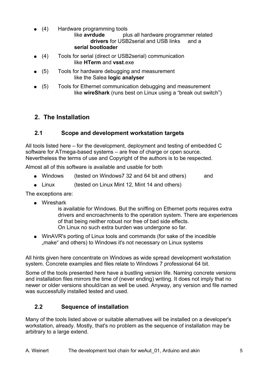(4) Hardware programming tools

```
like avrdude plus all hardware programmer related 
      drivers for USB2serial and USB links and a
serial bootloader
```
- (4) Tools for serial (direct or USB2serial) communication like **HTerm** and **vsst**.exe
- (5) Tools for hardware debugging and measurement like the Salea **logic analyser**
- (5) Tools for Ethernet communication debugging and measurement like **wireShark** (runs best on Linux using a "break out switch")

## <span id="page-6-2"></span>**2. The Installation**

#### <span id="page-6-1"></span>**2.1 Scope and development workstation targets**

All tools listed here – for the development, deployment and testing of embedded C software for ATmega-based systems – are free of charge or open source. Nevertheless the terms of use and Copyright of the authors is to be respected.

Almost all of this software is available and usable for both

- Windows (tested on Windows7 32 and 64 bit and others) and
- Linux (tested on Linux Mint 12, Mint 14 and others)

The exceptions are:

● Wireshark

is available for Windows. But the sniffing on Ethernet ports requires extra drivers and encroachments to the operation system. There are experiences of that being neither robust nor free of bad side effects. On Linux no such extra burden was undergone so far.

• WinAVR's porting of Linux tools and commands (for sake of the incedible ", make" and others) to Windows it's not necessary on Linux systems

All hints given here concentrate on Windows as wide spread development workstation system. Concrete examples and files relate to Windows 7 professional 64 bit.

Some of the tools presented here have a bustling version life. Naming concrete versions and installation files mirrors the time of (never ending) writing. It does not imply that no newer or older versions should/can as well be used. Anyway, any version and file named was successfully installed tested and used.

## <span id="page-6-0"></span>**2.2 Sequence of installation**

Many of the tools listed above or suitable alternatives will be installed on a developer's workstation, already. Mostly, that's no problem as the sequence of installation may be arbitrary to a large extend.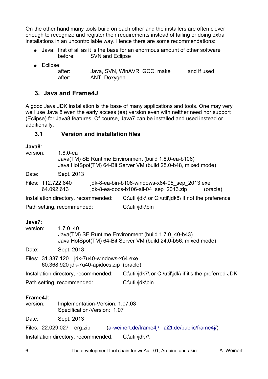On the other hand many tools build on each other and the installers are often clever enough to recognize and register their requirements instead of failing or doing extra installations in an uncontrollable way. Hence there are some recommendations:

- Java: first of all as it is the base for an enormous amount of other software before: SVN and Eclipse
- Eclipse:

| after: | Java, SVN, WinAVR, GCC, make | and if used |
|--------|------------------------------|-------------|
| after: | ANT, Doxygen                 |             |

## <span id="page-7-1"></span>**3. Java and Frame4J**

A good Java JDK installation is the base of many applications and tools. One may very well use Java 8 even the early access (ea) version even with neither need nor support (Eclipse) for Java8 features. Of course, Java7 can be installed and used instead or additionally.

#### <span id="page-7-0"></span>**3.1 Version and installation files**

#### **Java8**:

| version:                                                                                                                                                 |                                  | $1.8.0 - ea$    | Java(TM) SE Runtime Environment (build 1.8.0-ea-b106)<br>Java HotSpot(TM) 64-Bit Server VM (build 25.0-b48, mixed mode) |  |  |
|----------------------------------------------------------------------------------------------------------------------------------------------------------|----------------------------------|-----------------|-------------------------------------------------------------------------------------------------------------------------|--|--|
| Date:                                                                                                                                                    |                                  | Sept. 2013      |                                                                                                                         |  |  |
|                                                                                                                                                          | Files: 112.722.840<br>64.092.613 |                 | jdk-8-ea-bin-b106-windows-x64-05 sep 2013.exe<br>jdk-8-ea-docs-b106-all-04 sep 2013.zip<br>(oracle)                     |  |  |
| Installation directory, recommended:                                                                                                                     |                                  |                 | C:\util\jdk\ or C:\util\jdk8\ if not the preference                                                                     |  |  |
| Path setting, recommended:                                                                                                                               |                                  | C:\util\jdk\bin |                                                                                                                         |  |  |
| Java7:<br>1.7.0 40<br>version:<br>Java(TM) SE Runtime Environment (build 1.7.0 40-b43)<br>Java HotSpot(TM) 64-Bit Server VM (build 24.0-b56, mixed mode) |                                  |                 |                                                                                                                         |  |  |
| Date:                                                                                                                                                    |                                  | Sept. 2013      |                                                                                                                         |  |  |
| Files: 31.337.120 jdk-7u40-windows-x64.exe<br>60.368.920 jdk-7u40-apidocs.zip (oracle)                                                                   |                                  |                 |                                                                                                                         |  |  |

Installation directory, recommended: C:\util\jdk7\ or C:\util\jdk\ if it's the preferred JDK

Path setting, recommended: C:\util\jdk\bin

#### **Frame4J**:

version: Implementation-Version: 1.07.03 Specification-Version: 1.07

Date: Sept. 2013

Files: 22.029.027 erg.zip [\(a-weinert.de/frame4j/,](http://a-weinert.de/frame4j/) [ai2t.de/public/frame4j/\)](http://ai2t.de/public/frame4j/) Installation directory, recommended: C:\util\jdk7\

6 The development tool chain for weAut 01, Arduino and akin A. Weinert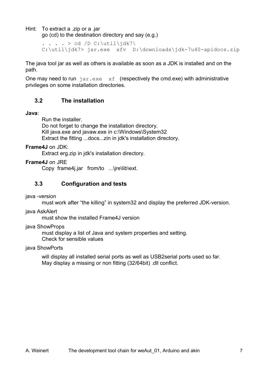Hint: To extract a .zip or a .jar

go (cd) to the destination directory and say (e.g.)

```
. . . . > cd /D C:\util\jdk7\
C:\util\jdk7> jar.exe xfv D:\downloads\jdk-7u40-apidocs.zip
```
The java tool jar as well as others is available as soon as a JDK is installed and on the path.

One may need to run  $\frac{1}{1}ar \cdot exe$  xf (respectively the cmd.exe) with administrative privileges on some installation directories.

#### <span id="page-8-1"></span>**3.2 The installation**

#### **Java**:

Run the installer.

Do not forget to change the installation directory. Kill java.exe and javaw.exe in c:\Windows\System32 Extract the fitting ...docs...zin in jdk's installation directory.

#### **Frame4J** on JDK:

Extract erg.zip in jdk's installation directory.

#### **Frame4J** on JRE

Copy frame4*j.jar* from/to ...\jre\lib\ext.

#### <span id="page-8-0"></span>**3.3 Configuration and tests**

#### java -version

must work after "the killing" in system32 and display the preferred JDK-version.

#### java AskAlert

must show the installed Frame4J version

#### java ShowProps

must display a list of Java and system properties and setting. Check for sensible values

#### java ShowPorts

will display all installed serial ports as well as USB2serial ports used so far. May display a missing or non fitting (32/64bit) .dll conflict.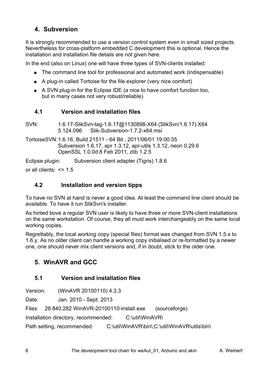# <span id="page-9-4"></span>**4. Subversion**

It is strongly recommended to use a version control system even in small sized projects. Nevertheless for cross-platform embedded C development this is optional. Hence the installation and installation file details are not given here.

In the end (also on Linux) one will have three types of SVN-clients installed:

- The command line tool for professional and automated work (indispensable)
- A plug-in called Tortoise for the file explorer (very nice comfort)
- A SVN plug-in for the Eclipse IDE (a nice to have comfort function too, but in many cases not very robust/reliable)

#### <span id="page-9-3"></span>**4.1 Version and installation files**

SVN: 1.6.17-SlikSvn-tag-1.6.17@1130898-X64 (SlikSvn/1.6.17) X64 5.124.096 Slik-Subversion-1.7.2-x64.msi

TortoiseSVN:1.6.16, Build 21511 - 64 Bit , 2011/06/01 19:00:35 Subversion 1.6.17, apr 1.3.12, apr-utils 1.3.12, neon 0.29.6 OpenSSL 1.0.0d 8 Feb 2011, zlib 1.2.5

Eclipse plugin: Subversion client adapter (Tigris) 1.8.6

or all clients:  $\leq$  1.5

#### <span id="page-9-2"></span>**4.2 Installation and version tipps**

To have no SVN at hand is never a good idea. At least the command line client should be available. To have it run SlikSvn's installer.

As hinted bove a regular SVN user is likely to have three or more SVN-client installations on the same workstation. Of course, they all must work interchangeably on the same local working copies.

Regrettably, the local working copy (special files) format was changed from SVN 1.5.x to 1.6.y. As no older client can handle a working copy initialised or re-formatted by a newer one, one should never mix client versions and, if in doubt, stick to the older one.

# <span id="page-9-1"></span>**5. WinAVR and GCC**

#### <span id="page-9-0"></span>**5.1 Version and installation files**

Version: (WinAVR 20100110) 4.3.3

Date: Jan. 2010 - Sept. 2013

Files: 28.840.282 WinAVR-20100110-install.exe (sourceforge)

Installation directory, recommended: C:\util\WinAVR\

Path setting, recommended: C:\util\WinAVR\bin\;C:\util\WinAVR\utils\bin\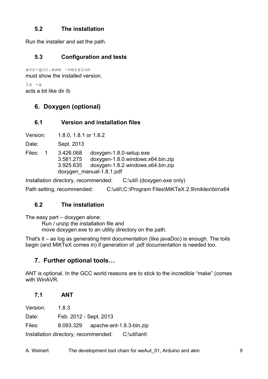## <span id="page-10-6"></span>**5.2 The installation**

Run the installer and set the path.

## <span id="page-10-5"></span>**5.3 Configuration and tests**

avr-gcc.exe –version must show the installed version.

ls -a acts a bit like dir /b

# <span id="page-10-4"></span>**6. Doxygen (optional)**

## <span id="page-10-3"></span>**6.1 Version and installation files**

Version: 1.8.0, 1.8.1 or 1.8.2

Date: Sept. 2013

Files: 1 3.426.068 doxygen-1.8.0-setup.exe 3.581.275 doxygen-1.8.0.windows.x64.bin.zip 3.925.635 doxygen-1.8.2.windows.x64.bin.zip doxygen\_manual-1.8.1.pdf

Installation directory, recommended: C:\util\ (doxygen.exe only)

Path setting, recommended: C:\util\;C:\Program Files\MiKTeX 2.9\miktex\bin\x64

## <span id="page-10-2"></span>**6.2 The installation**

The easy part – doxygen alone:

Run / unzip the installation file and move doxygen.exe to an utility directory on the path.

That's it – as log as generating html documentation (like javaDoc) is enough. The toils begin (and MiKTeX comes in) if generation of .pdf documentation is needed too.

# <span id="page-10-1"></span>**7. Further optional tools…**

ANT is optional. In the GCC world reasons are to stick to the incredible "make" (comes with WinAVR.

# <span id="page-10-0"></span>**7.1 ANT**

Version: 1.8.3 Date: Feb. 2012 - Sept. 2013 Files: 8.093.329 apache-ant-1.8.3-bin.zip Installation directory, recommended: C:\util\ant\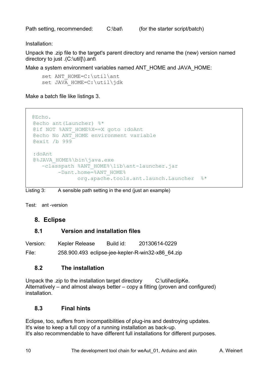Path setting, recommended: C:\bat\ (for the starter script/batch)

Installation:

Unpack the .zip file to the target's parent directory and rename the (new) version named directory to just .(C:\util]\).ant\

Make a system environment variables named ANT\_HOME and JAVA\_HOME:

```
set ANT HOME=C:\util\ant
set JAVA HOME=C:\util\jdk
```
Make a batch file like listings [3.](#page-11-4)

```
 @Echo.
 @echo ant(Launcher) %*
@if NOT %ANT HOME%X==X goto :doAnt
 @echo No ANT_HOME environment variable
 @exit /b 999
 :doAnt
 @%JAVA_HOME%\bin\java.exe 
   -classpath %ANT HOME%\lib\ant-launcher.jar
        -Dant.home=%ANT_HOME%
               org.apache.tools.ant.launch.Launcher %*
```
<span id="page-11-4"></span>Listing 3: A sensible path setting in the end (just an example)

Test: ant -version

#### <span id="page-11-3"></span>**8. Eclipse**

#### <span id="page-11-2"></span>**8.1 Version and installation files**

| Version: | Kepler Release                                    | Build id: | 20130614-0229 |  |
|----------|---------------------------------------------------|-----------|---------------|--|
| File:    | 258.900.493 eclipse-jee-kepler-R-win32-x86 64.zip |           |               |  |

#### <span id="page-11-1"></span>**8.2 The installation**

Unpack the .zip to the installation target directory C:\util\eclipKe. Alternatively – and almost always better – copy a fitting (proven and configured) installation.

#### <span id="page-11-0"></span>**8.3 Final hints**

Eclipse, too, suffers from incompatibilities of plug-ins and destroying updates. It's wise to keep a full copy of a running installation as back-up. It's also recommendable to have different full installations for different purposes.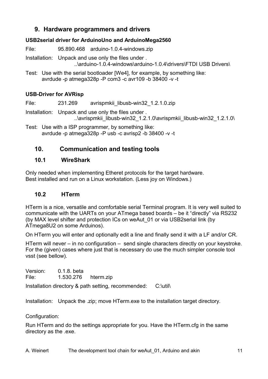# <span id="page-12-3"></span>**9. Hardware programmers and drivers**

#### **USB2serial driver for ArduinoUno and ArduinoMega2560**

File: 95.890.468 arduino-1.0.4-windows.zip

Installation: Unpack and use only the files under .

..\arduino-1.0.4-windows\arduino-1.0.4\drivers\FTDI USB Drivers\

Test: Use with the serial bootloader [We4], for example, by something like: avrdude -p atmega328p -P com3 -c avr109 -b 38400 -v -t

## **USB-Driver for AVRisp**

File: 231.269 avrispmkii\_libusb-win32\_1.2.1.0.zip

Installation: Unpack and use only the files under.  $\therefore$ lavrispmkii libusb-win32 1.2.1.0\avrispmkii libusb-win32 1.2.1.0\

Test: Use with a ISP programmer, by something like: avrdude -p atmega328p -P usb -c avrisp2 -b 38400 -v -t

# <span id="page-12-2"></span>**10. Communication and testing tools**

## <span id="page-12-1"></span>**10.1 WireShark**

Only needed when implementing Etheret protocols for the target hardware. Best installed and run on a Linux workstation. (Less joy on Windows.)

# <span id="page-12-0"></span>**10.2 HTerm**

HTerm is a nice, versatile and comfortable serial Terminal program. It is very well suited to communicate with the UARTs on your ATmega based boards – be it "directly" via RS232 (by MAX level shifter and protection ICs on weAut\_01 or via USB2serial link (by ATmega8U2 on some Arduinos).

On HTerm you will enter and optionally edit a line and finally send it with a LF and/or CR.

HTerm will never – in no configuration – send single characters directly on your keystroke. For the (given) cases where just that is necessary do use the much simpler console tool vsst (see bellow).

Version: 0.1.8. beta File: 1.530.276 hterm.zip

Installation directory & path setting, recommended: C:\util\

Installation: Unpack the .zip; move HTerm.exe to the installation target directory.

Configuration:

Run HTerm and do the settings appropriate for you. Have the HTerm.cfg in the same directory as the .exe.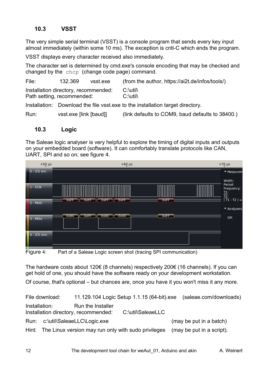## <span id="page-13-1"></span>**10.3 VSST**

The very simple serial terminal (VSST) is a console program that sends every key input almost immediately (within some 10 ms). The exception is cntl-C which ends the program.

VSST displays every character received also immediately.

The character set is determined by cmd.exe's console encoding that may be checked and changed by the chcp (change code page) command.

| File:                                                                          | 132.369 | vsst.exe | (from the author, https://ai2t.de/infos/tools/) |
|--------------------------------------------------------------------------------|---------|----------|-------------------------------------------------|
| Installation directory, recommended:<br>Path setting, recommended:             |         |          | $C:\text{Utility}$<br>$C:\text{Utility}$        |
| Installation: Download the file vsst.exe to the installation target directory. |         |          |                                                 |

Run: vsst.exe [link [baud]] (link defaults to COM9, baud defaults to 38400.)

#### <span id="page-13-0"></span>**10.3 Logic**

The Saleae logic analyser is very helpful to explore the timing of digital inputs and outputs on your embedded board (software). It can comfortably translate protocols like CAN, UART, SPI and so on; see figure [4.](#page-13-2)



<span id="page-13-2"></span>Figure 4: Part of a Saleae Logic screen shot (tracing SPI communication)

The hardware costs about 120€ (8 channels) respectively 200€ (16 channels). If you can get hold of one, you should have the software ready on your development workstation.

Of course, that's optional – but chances are, once you have it you won't miss it any more.

File download: 11.129.104 Logic Setup 1.1.15 (64-bit).exe (saleae.com/downloads) Installation: Run the Installer Installation directory, recommended: C:\util\SaleaeLLC Run: c:\util\SaleaeLLC\Logic.exe (may be put in a batch) Hint: The Linux version may run only with sudo privileges (may be put in a script).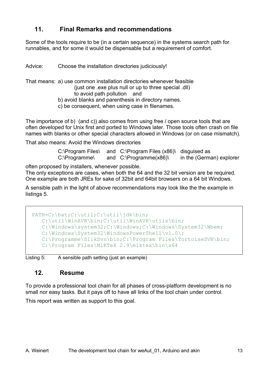# <span id="page-14-1"></span>**11. Final Remarks and recommendations**

Some of the tools require to be (in a certain sequence) in the systems search path for runnables, and for some it would be dispensable but a requirement of comfort.

Advice: Choose the installation directories judiciously!

That means: a) use common installation directories whenever feasible

(just one .exe plus null or up to three special .dll) to avoid path pollution and

b) avoid blanks and parenthesis in directory names.

c) be consequent, when using case in filenames.

The importance of b) (and c)) also comes from using free / open source tools that are often developed for Unix first and ported to Windows later. Those tools often crash on file names with blanks or other special characters allowed in Windows (or on case mismatch).

That also means: Avoid the Windows directories

C:\Program Files\ and C:\Program Files (x86)\ disguised as C:\Programme\ and C:\Programme(x86)\ in the (German) explorer

often proposed by installers, whenever possible.

The only exceptions are cases, when both the 64 and the 32 bit version are be required. One example are both JREs for sake of 32bit and 64bit browsers on a 64 bit Windows.

A sensible path in the light of above recommendations may look like the the example in listings [5.](#page-14-2)

 PATH=C:\bat;C:\util;C:\util\jdk\bin; C:\util\WinAVR\bin;C:\util\WinAVR\utils\bin; C:\Windows\system32;C:\Windows;C:\Windows\System32\Wbem; C:\Windows\System32\WindowsPowerShell\v1.0\; C:\Programme\SlikSvn\bin;C:\Program Files\TortoiseSVN\bin; C:\Program Files\MiKTeX 2.9\miktex\bin\x64

Listing 5: A sensible path setting (just an example)

#### <span id="page-14-2"></span><span id="page-14-0"></span>**12. Resume**

To provide a professional tool chain for all phases of cross-platform development is no small nor easy tasks. But it pays off to have all links of the tool chain under control.

This report was written as support to this goal.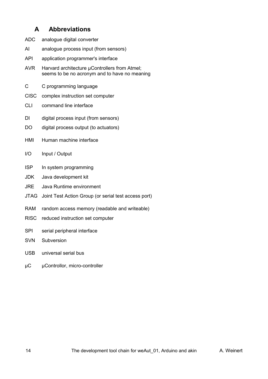## <span id="page-15-0"></span>**A Abbreviations**

- ADC analogue digital converter
- AI analogue process input (from sensors)
- API application programmer's interface
- AVR Harvard architecture µControllers from Atmel; seems to be no acronym and to have no meaning
- C C programming language
- CISC complex instruction set computer
- CLI command line interface
- DI digital process input (from sensors)
- DO digital process output (to actuators)
- HMI Human machine interface
- I/O Input / Output
- ISP In system programming
- JDK Java development kit
- JRE Java Runtime environment
- JTAG Joint Test Action Group (or serial test access port)
- RAM random access memory (readable and writeable)
- RISC reduced instruction set computer
- SPI serial peripheral interface
- SVN Subversion
- USB universal serial bus
- µC µControllor, micro-controller